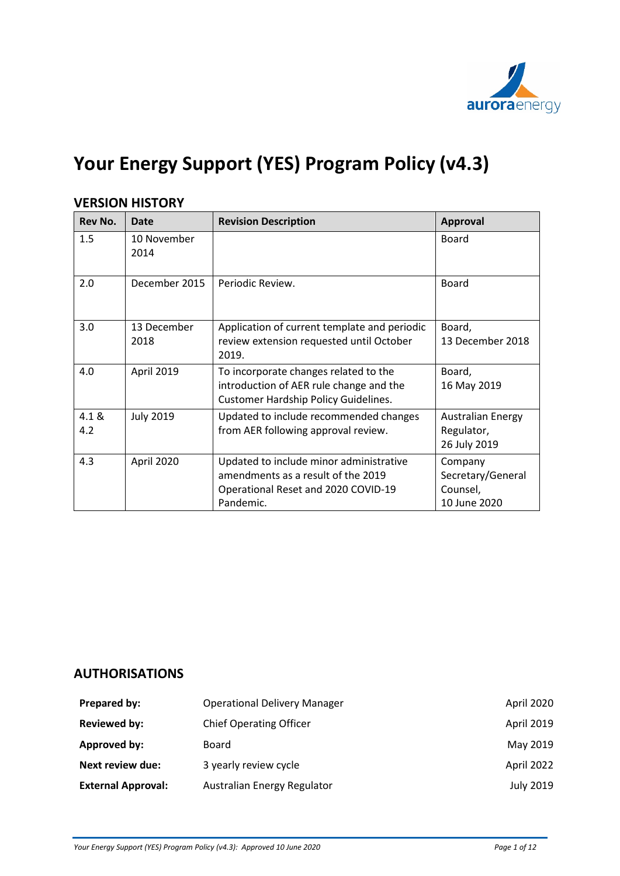

# **Your Energy Support (YES) Program Policy (v4.3)**

| <b>Rev No.</b> | Date                | <b>Revision Description</b>                                                                                                       | <b>Approval</b>                                          |
|----------------|---------------------|-----------------------------------------------------------------------------------------------------------------------------------|----------------------------------------------------------|
| 1.5            | 10 November<br>2014 |                                                                                                                                   | Board                                                    |
| 2.0            | December 2015       | Periodic Review.                                                                                                                  | <b>Board</b>                                             |
| 3.0            | 13 December<br>2018 | Application of current template and periodic<br>review extension requested until October<br>2019.                                 | Board,<br>13 December 2018                               |
| 4.0            | April 2019          | To incorporate changes related to the<br>introduction of AER rule change and the<br><b>Customer Hardship Policy Guidelines.</b>   | Board,<br>16 May 2019                                    |
| 4.1 &<br>4.2   | <b>July 2019</b>    | Updated to include recommended changes<br>from AER following approval review.                                                     | <b>Australian Energy</b><br>Regulator,<br>26 July 2019   |
| 4.3            | April 2020          | Updated to include minor administrative<br>amendments as a result of the 2019<br>Operational Reset and 2020 COVID-19<br>Pandemic. | Company<br>Secretary/General<br>Counsel,<br>10 June 2020 |

# **VERSION HISTORY**

# **AUTHORISATIONS**

| Prepared by:              | <b>Operational Delivery Manager</b> | April 2020       |
|---------------------------|-------------------------------------|------------------|
| <b>Reviewed by:</b>       | <b>Chief Operating Officer</b>      | April 2019       |
| Approved by:              | Board                               | May 2019         |
| Next review due:          | 3 yearly review cycle               | April 2022       |
| <b>External Approval:</b> | Australian Energy Regulator         | <b>July 2019</b> |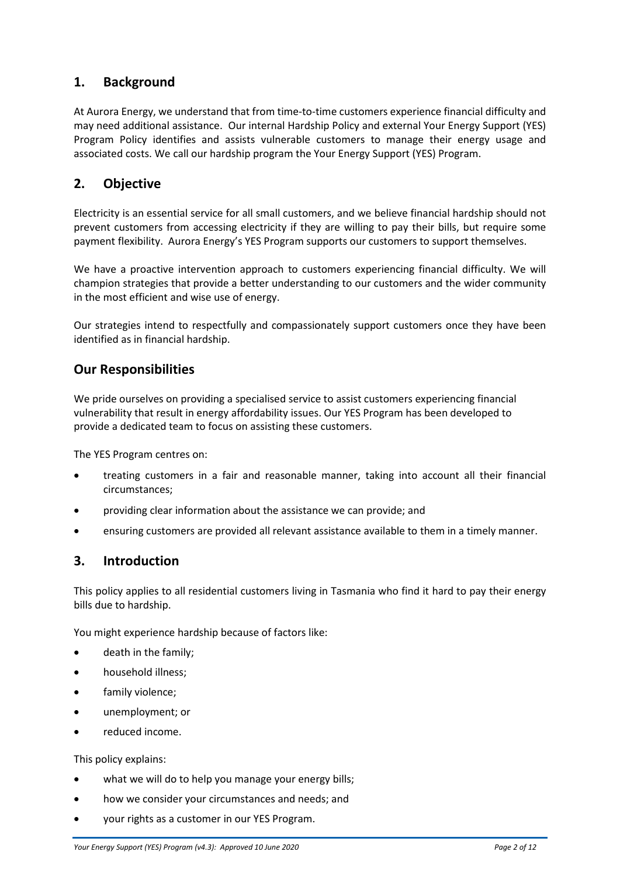# **1. Background**

At Aurora Energy, we understand that from time-to-time customers experience financial difficulty and may need additional assistance. Our internal Hardship Policy and external Your Energy Support (YES) Program Policy identifies and assists vulnerable customers to manage their energy usage and associated costs. We call our hardship program the Your Energy Support (YES) Program.

# **2. Objective**

Electricity is an essential service for all small customers, and we believe financial hardship should not prevent customers from accessing electricity if they are willing to pay their bills, but require some payment flexibility. Aurora Energy's YES Program supports our customers to support themselves.

We have a proactive intervention approach to customers experiencing financial difficulty. We will champion strategies that provide a better understanding to our customers and the wider community in the most efficient and wise use of energy.

Our strategies intend to respectfully and compassionately support customers once they have been identified as in financial hardship.

# **Our Responsibilities**

We pride ourselves on providing a specialised service to assist customers experiencing financial vulnerability that result in energy affordability issues. Our YES Program has been developed to provide a dedicated team to focus on assisting these customers.

The YES Program centres on:

- treating customers in a fair and reasonable manner, taking into account all their financial circumstances;
- providing clear information about the assistance we can provide; and
- ensuring customers are provided all relevant assistance available to them in a timely manner.

### **3. Introduction**

This policy applies to all residential customers living in Tasmania who find it hard to pay their energy bills due to hardship.

You might experience hardship because of factors like:

- death in the family;
- household illness;
- family violence;
- unemployment; or
- reduced income.

This policy explains:

- what we will do to help you manage your energy bills;
- how we consider your circumstances and needs; and
- your rights as a customer in our YES Program.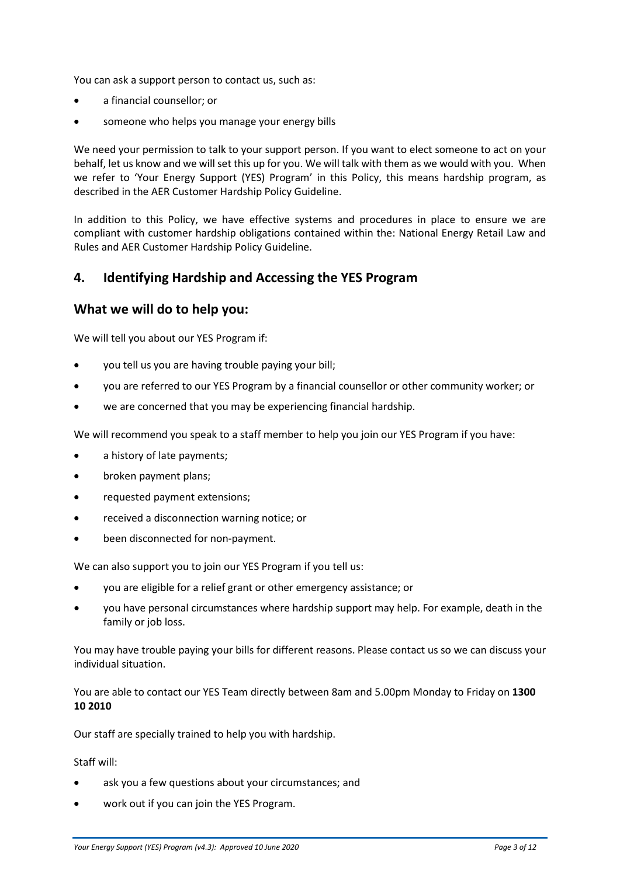You can ask a support person to contact us, such as:

- a financial counsellor; or
- someone who helps you manage your energy bills

We need your permission to talk to your support person. If you want to elect someone to act on your behalf, let us know and we will set this up for you. We will talk with them as we would with you. When we refer to 'Your Energy Support (YES) Program' in this Policy, this means hardship program, as described in the AER Customer Hardship Policy Guideline.

In addition to this Policy, we have effective systems and procedures in place to ensure we are compliant with customer hardship obligations contained within the: National Energy Retail Law and Rules and AER Customer Hardship Policy Guideline.

### **4. Identifying Hardship and Accessing the YES Program**

### **What we will do to help you:**

We will tell you about our YES Program if:

- you tell us you are having trouble paying your bill;
- you are referred to our YES Program by a financial counsellor or other community worker; or
- we are concerned that you may be experiencing financial hardship.

We will recommend you speak to a staff member to help you join our YES Program if you have:

- a history of late payments;
- broken payment plans;
- requested payment extensions;
- received a disconnection warning notice; or
- been disconnected for non-payment.

We can also support you to join our YES Program if you tell us:

- you are eligible for a relief grant or other emergency assistance; or
- you have personal circumstances where hardship support may help. For example, death in the family or job loss.

You may have trouble paying your bills for different reasons. Please contact us so we can discuss your individual situation.

You are able to contact our YES Team directly between 8am and 5.00pm Monday to Friday on **1300 10 2010**

Our staff are specially trained to help you with hardship.

#### Staff will:

- ask you a few questions about your circumstances; and
- work out if you can join the YES Program.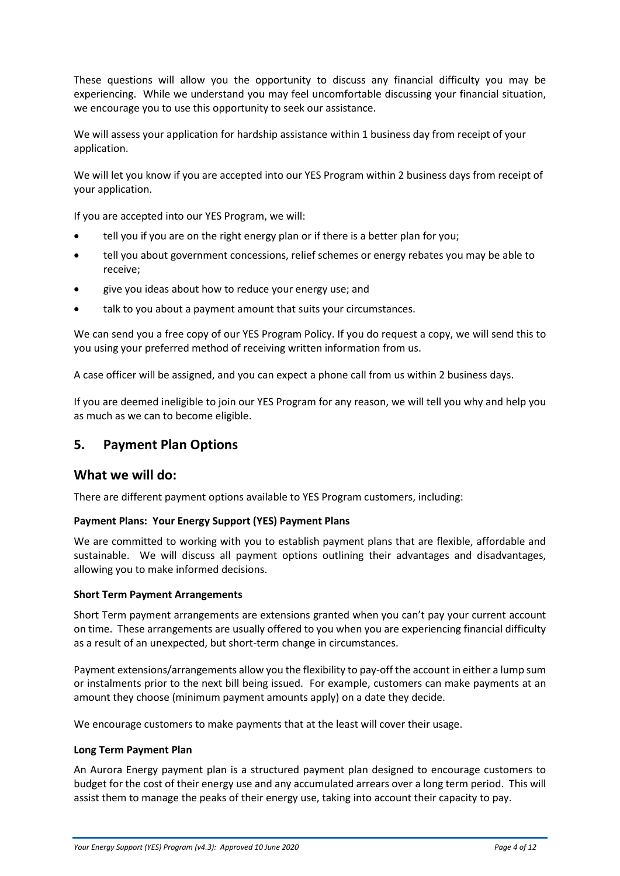These questions will allow you the opportunity to discuss any financial difficulty you may be experiencing. While we understand you may feel uncomfortable discussing your financial situation, we encourage you to use this opportunity to seek our assistance.

We will assess your application for hardship assistance within 1 business day from receipt of your application.

We will let you know if you are accepted into our YES Program within 2 business days from receipt of your application.

If you are accepted into our YES Program, we will:

- tell you if you are on the right energy plan or if there is a better plan for you;
- tell you about government concessions, relief schemes or energy rebates you may be able to receive;
- give you ideas about how to reduce your energy use; and
- talk to you about a payment amount that suits your circumstances.

We can send you a free copy of our YES Program Policy. If you do request a copy, we will send this to you using your preferred method of receiving written information from us.

A case officer will be assigned, and you can expect a phone call from us within 2 business days.

If you are deemed ineligible to join our YES Program for any reason, we will tell you why and help you as much as we can to become eligible.

### **5. Payment Plan Options**

### **What we will do:**

There are different payment options available to YES Program customers, including:

#### **Payment Plans: Your Energy Support (YES) Payment Plans**

We are committed to working with you to establish payment plans that are flexible, affordable and sustainable. We will discuss all payment options outlining their advantages and disadvantages, allowing you to make informed decisions.

#### **Short Term Payment Arrangements**

Short Term payment arrangements are extensions granted when you can't pay your current account on time. These arrangements are usually offered to you when you are experiencing financial difficulty as a result of an unexpected, but short-term change in circumstances.

Payment extensions/arrangements allow you the flexibility to pay-off the account in either a lump sum or instalments prior to the next bill being issued. For example, customers can make payments at an amount they choose (minimum payment amounts apply) on a date they decide.

We encourage customers to make payments that at the least will cover their usage.

#### **Long Term Payment Plan**

An Aurora Energy payment plan is a structured payment plan designed to encourage customers to budget for the cost of their energy use and any accumulated arrears over a long term period. This will assist them to manage the peaks of their energy use, taking into account their capacity to pay.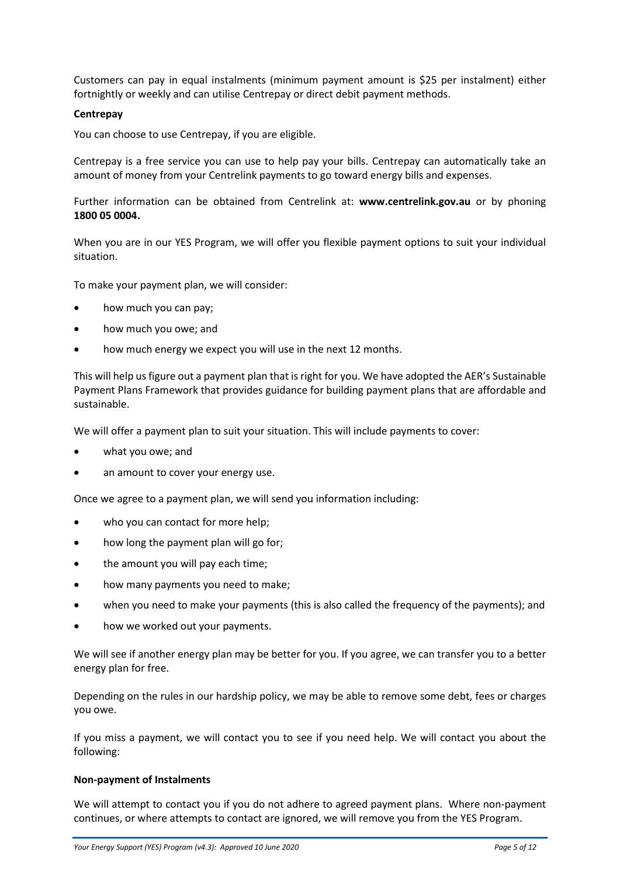Customers can pay in equal instalments (minimum payment amount is \$25 per instalment) either fortnightly or weekly and can utilise Centrepay or direct debit payment methods.

#### **Centrepay**

You can choose to use Centrepay, if you are eligible.

Centrepay is a free service you can use to help pay your bills. Centrepay can automatically take an amount of money from your Centrelink payments to go toward energy bills and expenses.

Further information can be obtained from Centrelink at: **www.centrelink.gov.au** or by phoning **1800 05 0004.**

When you are in our YES Program, we will offer you flexible payment options to suit your individual situation.

To make your payment plan, we will consider:

- how much you can pay;
- how much you owe; and
- how much energy we expect you will use in the next 12 months.

This will help us figure out a payment plan that is right for you. We have adopted the AER's Sustainable Payment Plans Framework that provides guidance for building payment plans that are affordable and sustainable.

We will offer a payment plan to suit your situation. This will include payments to cover:

- what you owe; and
- an amount to cover your energy use.

Once we agree to a payment plan, we will send you information including:

- who you can contact for more help;
- how long the payment plan will go for;
- the amount you will pay each time;
- how many payments you need to make;
- when you need to make your payments (this is also called the frequency of the payments); and
- how we worked out your payments.

We will see if another energy plan may be better for you. If you agree, we can transfer you to a better energy plan for free.

Depending on the rules in our hardship policy, we may be able to remove some debt, fees or charges you owe.

If you miss a payment, we will contact you to see if you need help. We will contact you about the following:

#### **Non-payment of Instalments**

We will attempt to contact you if you do not adhere to agreed payment plans. Where non-payment continues, or where attempts to contact are ignored, we will remove you from the YES Program.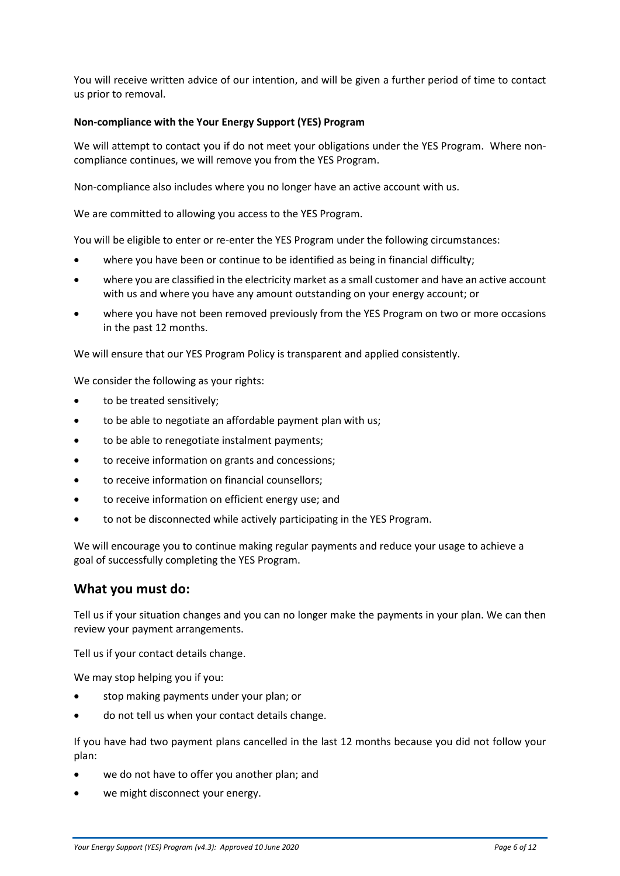You will receive written advice of our intention, and will be given a further period of time to contact us prior to removal.

### **Non-compliance with the Your Energy Support (YES) Program**

We will attempt to contact you if do not meet your obligations under the YES Program. Where noncompliance continues, we will remove you from the YES Program.

Non-compliance also includes where you no longer have an active account with us.

We are committed to allowing you access to the YES Program.

You will be eligible to enter or re-enter the YES Program under the following circumstances:

- where you have been or continue to be identified as being in financial difficulty;
- where you are classified in the electricity market as a small customer and have an active account with us and where you have any amount outstanding on your energy account; or
- where you have not been removed previously from the YES Program on two or more occasions in the past 12 months.

We will ensure that our YES Program Policy is transparent and applied consistently.

We consider the following as your rights:

- to be treated sensitively:
- to be able to negotiate an affordable payment plan with us;
- to be able to renegotiate instalment payments;
- to receive information on grants and concessions;
- to receive information on financial counsellors;
- to receive information on efficient energy use; and
- to not be disconnected while actively participating in the YES Program.

We will encourage you to continue making regular payments and reduce your usage to achieve a goal of successfully completing the YES Program.

### **What you must do:**

Tell us if your situation changes and you can no longer make the payments in your plan. We can then review your payment arrangements.

Tell us if your contact details change.

We may stop helping you if you:

- stop making payments under your plan; or
- do not tell us when your contact details change.

If you have had two payment plans cancelled in the last 12 months because you did not follow your plan:

- we do not have to offer you another plan; and
- we might disconnect your energy.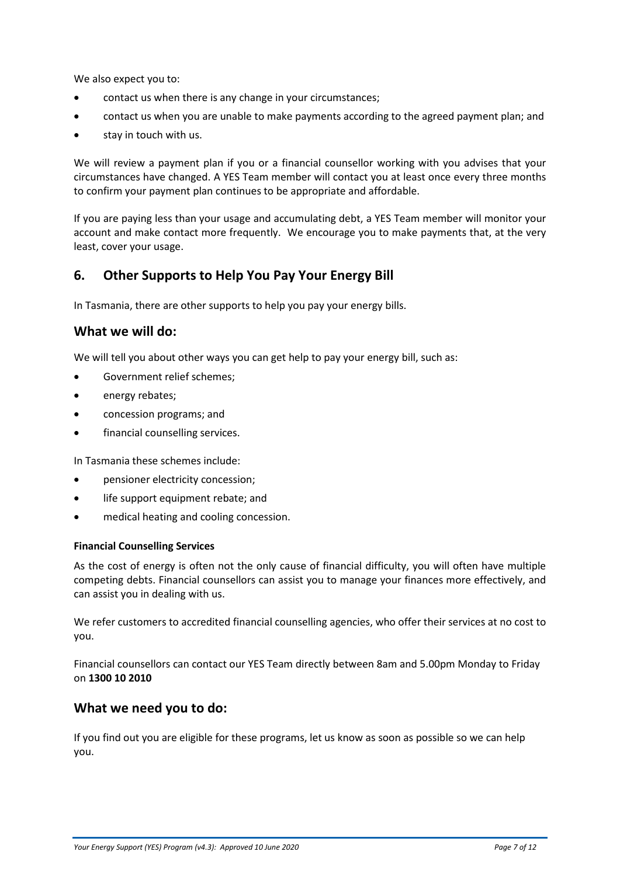We also expect you to:

- contact us when there is any change in your circumstances;
- contact us when you are unable to make payments according to the agreed payment plan; and
- stay in touch with us.

We will review a payment plan if you or a financial counsellor working with you advises that your circumstances have changed. A YES Team member will contact you at least once every three months to confirm your payment plan continues to be appropriate and affordable.

If you are paying less than your usage and accumulating debt, a YES Team member will monitor your account and make contact more frequently. We encourage you to make payments that, at the very least, cover your usage.

### **6. Other Supports to Help You Pay Your Energy Bill**

In Tasmania, there are other supports to help you pay your energy bills.

### **What we will do:**

We will tell you about other ways you can get help to pay your energy bill, such as:

- Government relief schemes;
- energy rebates;
- concession programs; and
- financial counselling services.

In Tasmania these schemes include:

- pensioner electricity concession;
- life support equipment rebate: and
- medical heating and cooling concession.

#### **Financial Counselling Services**

As the cost of energy is often not the only cause of financial difficulty, you will often have multiple competing debts. Financial counsellors can assist you to manage your finances more effectively, and can assist you in dealing with us.

We refer customers to accredited financial counselling agencies, who offer their services at no cost to you.

Financial counsellors can contact our YES Team directly between 8am and 5.00pm Monday to Friday on **1300 10 2010**

### **What we need you to do:**

If you find out you are eligible for these programs, let us know as soon as possible so we can help you.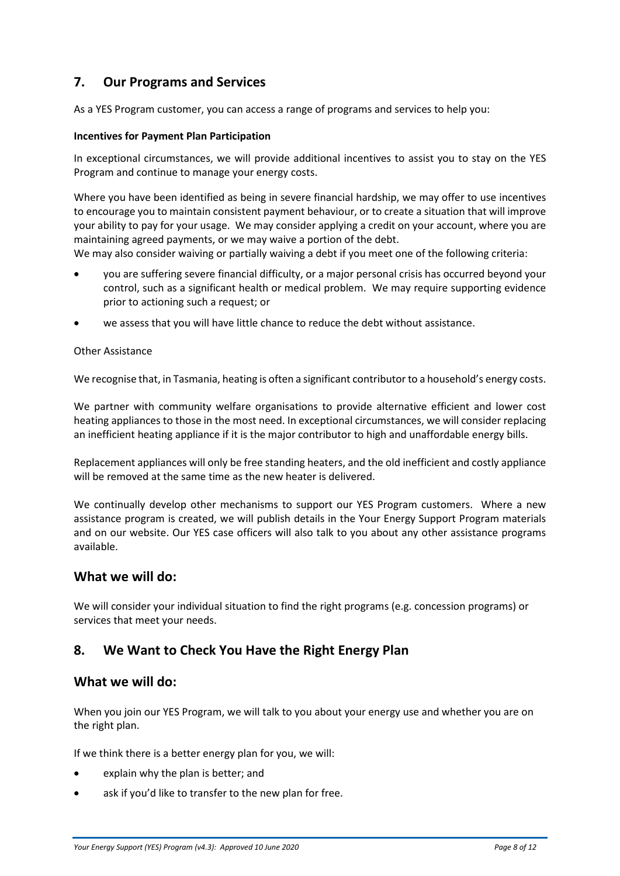# **7. Our Programs and Services**

As a YES Program customer, you can access a range of programs and services to help you:

### **Incentives for Payment Plan Participation**

In exceptional circumstances, we will provide additional incentives to assist you to stay on the YES Program and continue to manage your energy costs.

Where you have been identified as being in severe financial hardship, we may offer to use incentives to encourage you to maintain consistent payment behaviour, or to create a situation that will improve your ability to pay for your usage. We may consider applying a credit on your account, where you are maintaining agreed payments, or we may waive a portion of the debt.

We may also consider waiving or partially waiving a debt if you meet one of the following criteria:

- you are suffering severe financial difficulty, or a major personal crisis has occurred beyond your control, such as a significant health or medical problem. We may require supporting evidence prior to actioning such a request; or
- we assess that you will have little chance to reduce the debt without assistance.

#### Other Assistance

We recognise that, in Tasmania, heating is often a significant contributor to a household's energy costs.

We partner with community welfare organisations to provide alternative efficient and lower cost heating appliances to those in the most need. In exceptional circumstances, we will consider replacing an inefficient heating appliance if it is the major contributor to high and unaffordable energy bills.

Replacement appliances will only be free standing heaters, and the old inefficient and costly appliance will be removed at the same time as the new heater is delivered.

We continually develop other mechanisms to support our YES Program customers. Where a new assistance program is created, we will publish details in the Your Energy Support Program materials and on our website. Our YES case officers will also talk to you about any other assistance programs available.

### **What we will do:**

We will consider your individual situation to find the right programs (e.g. concession programs) or services that meet your needs.

### **8. We Want to Check You Have the Right Energy Plan**

### **What we will do:**

When you join our YES Program, we will talk to you about your energy use and whether you are on the right plan.

If we think there is a better energy plan for you, we will:

- explain why the plan is better; and
- ask if you'd like to transfer to the new plan for free.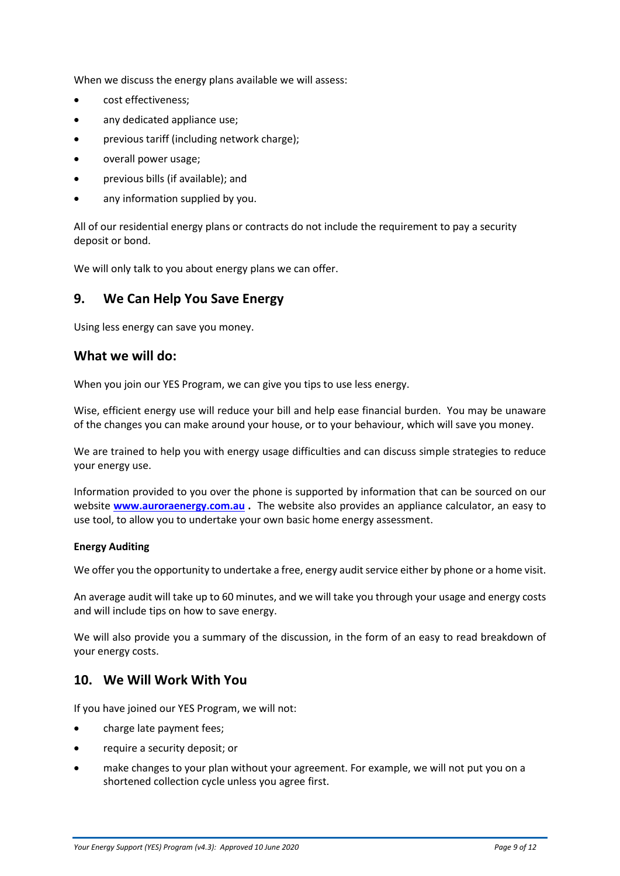When we discuss the energy plans available we will assess:

- cost effectiveness;
- any dedicated appliance use;
- previous tariff (including network charge);
- overall power usage;
- previous bills (if available); and
- any information supplied by you.

All of our residential energy plans or contracts do not include the requirement to pay a security deposit or bond.

We will only talk to you about energy plans we can offer.

### **9. We Can Help You Save Energy**

Using less energy can save you money.

### **What we will do:**

When you join our YES Program, we can give you tips to use less energy.

Wise, efficient energy use will reduce your bill and help ease financial burden. You may be unaware of the changes you can make around your house, or to your behaviour, which will save you money.

We are trained to help you with energy usage difficulties and can discuss simple strategies to reduce your energy use.

Information provided to you over the phone is supported by information that can be sourced on our website **[www.auroraenergy.com.au](http://www.auroraenergy.com.au/) .** The website also provides an appliance calculator, an easy to use tool, to allow you to undertake your own basic home energy assessment.

#### **Energy Auditing**

We offer you the opportunity to undertake a free, energy audit service either by phone or a home visit.

An average audit will take up to 60 minutes, and we will take you through your usage and energy costs and will include tips on how to save energy.

We will also provide you a summary of the discussion, in the form of an easy to read breakdown of your energy costs.

### **10. We Will Work With You**

If you have joined our YES Program, we will not:

- charge late payment fees;
- require a security deposit; or
- make changes to your plan without your agreement. For example, we will not put you on a shortened collection cycle unless you agree first.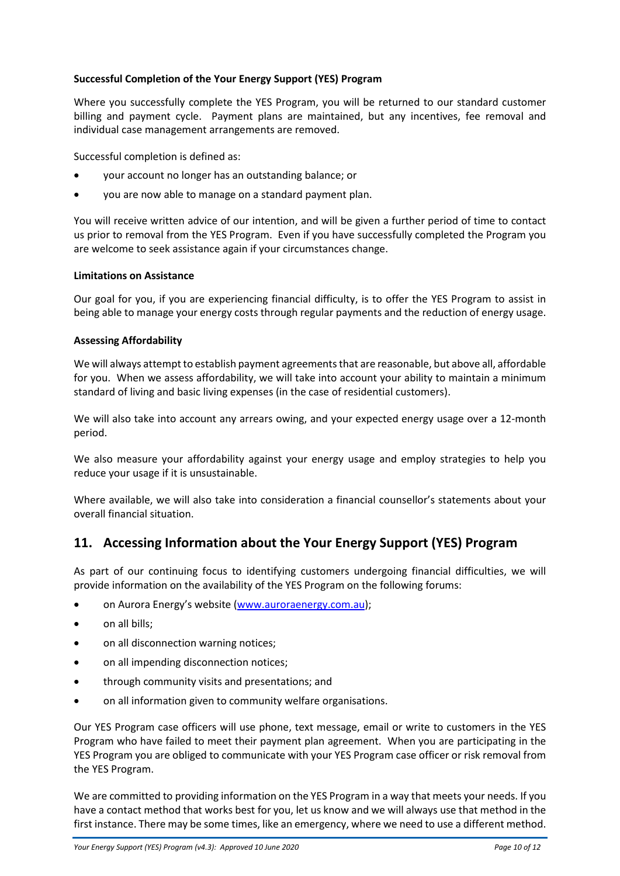### **Successful Completion of the Your Energy Support (YES) Program**

Where you successfully complete the YES Program, you will be returned to our standard customer billing and payment cycle. Payment plans are maintained, but any incentives, fee removal and individual case management arrangements are removed.

Successful completion is defined as:

- your account no longer has an outstanding balance; or
- you are now able to manage on a standard payment plan.

You will receive written advice of our intention, and will be given a further period of time to contact us prior to removal from the YES Program. Even if you have successfully completed the Program you are welcome to seek assistance again if your circumstances change.

### **Limitations on Assistance**

Our goal for you, if you are experiencing financial difficulty, is to offer the YES Program to assist in being able to manage your energy costs through regular payments and the reduction of energy usage.

### **Assessing Affordability**

We will always attempt to establish payment agreements that are reasonable, but above all, affordable for you. When we assess affordability, we will take into account your ability to maintain a minimum standard of living and basic living expenses (in the case of residential customers).

We will also take into account any arrears owing, and your expected energy usage over a 12-month period.

We also measure your affordability against your energy usage and employ strategies to help you reduce your usage if it is unsustainable.

Where available, we will also take into consideration a financial counsellor's statements about your overall financial situation.

### **11. Accessing Information about the Your Energy Support (YES) Program**

As part of our continuing focus to identifying customers undergoing financial difficulties, we will provide information on the availability of the YES Program on the following forums:

- on Aurora Energy's website [\(www.auroraenergy.com.au\)](http://www.auroraenergy.com.au/);
- on all bills;
- on all disconnection warning notices;
- on all impending disconnection notices;
- through community visits and presentations; and
- on all information given to community welfare organisations.

Our YES Program case officers will use phone, text message, email or write to customers in the YES Program who have failed to meet their payment plan agreement. When you are participating in the YES Program you are obliged to communicate with your YES Program case officer or risk removal from the YES Program.

We are committed to providing information on the YES Program in a way that meets your needs. If you have a contact method that works best for you, let us know and we will always use that method in the first instance. There may be some times, like an emergency, where we need to use a different method.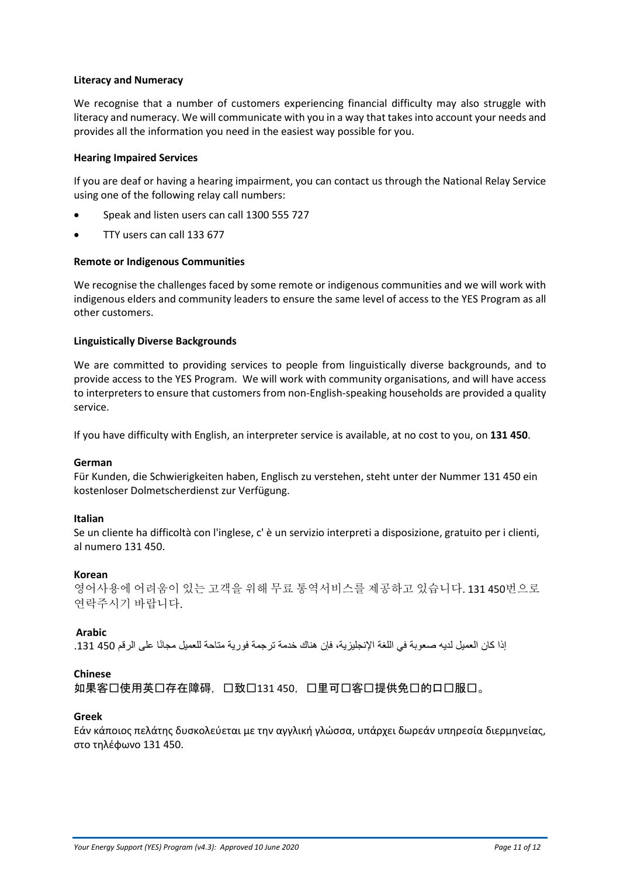#### **Literacy and Numeracy**

We recognise that a number of customers experiencing financial difficulty may also struggle with literacy and numeracy. We will communicate with you in a way that takes into account your needs and provides all the information you need in the easiest way possible for you.

#### **Hearing Impaired Services**

If you are deaf or having a hearing impairment, you can contact us through the National Relay Service using one of the following relay call numbers:

- Speak and listen users can call 1300 555 727
- TTY users can call 133 677

#### **Remote or Indigenous Communities**

We recognise the challenges faced by some remote or indigenous communities and we will work with indigenous elders and community leaders to ensure the same level of access to the YES Program as all other customers.

#### **Linguistically Diverse Backgrounds**

We are committed to providing services to people from linguistically diverse backgrounds, and to provide access to the YES Program. We will work with community organisations, and will have access to interpreters to ensure that customers from non-English-speaking households are provided a quality service.

If you have difficulty with English, an interpreter service is available, at no cost to you, on **131 450**.

#### **German**

Für Kunden, die Schwierigkeiten haben, Englisch zu verstehen, steht unter der Nummer 131 450 ein kostenloser Dolmetscherdienst zur Verfügung.

#### **Italian**

Se un cliente ha difficoltà con l'inglese, c' è un servizio interpreti a disposizione, gratuito per i clienti, al numero 131 450.

#### **Korean**

영어사용에 어려움이 있는 고객을 위해 무료 통역서비스를 제공하고 있습니다. 131 450번으로 연락주시기 바랍니다.

#### **Arabic**

إذا كان العميل لديه صعوبة في اللغة الإنجليزية، فإن هناك خدمة ترجمة فورية متاحة للعميل مجانًا على الرقم 450 131.

#### **Chinese**

如果客口使用英口存在障碍,口致口131 450, 口里可口客口提供免口的口口服口。

#### **Greek**

Εάν κάποιος πελάτης δυσκολεύεται με την αγγλική γλώσσα, υπάρχει δωρεάν υπηρεσία διερμηνείας, στο τηλέφωνο 131 450.